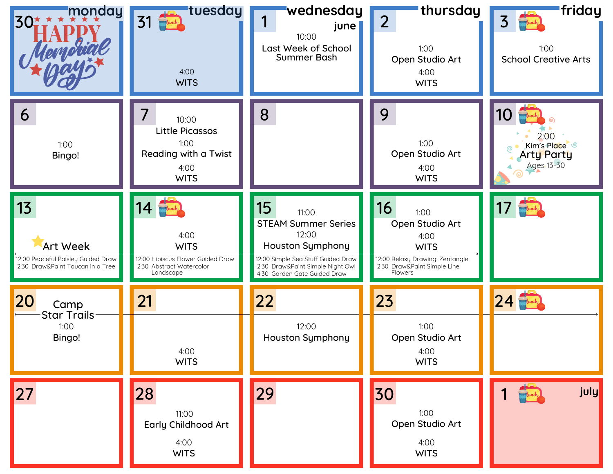